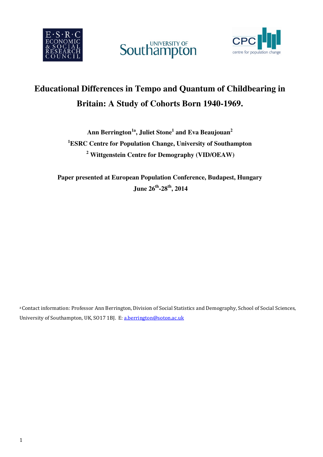





# **Educational Differences in Tempo and Quantum of Childbearing in Britain: A Study of Cohorts Born 1940-1969.**

**Ann Berrington1a, Juliet Stone<sup>1</sup> and Eva Beaujouan<sup>2</sup> <sup>1</sup>ESRC Centre for Population Change, University of Southampton <sup>2</sup> Wittgenstein Centre for Demography (VID/OEAW)** 

**Paper presented at European Population Conference, Budapest, Hungary June 26th-28th, 2014** 

a Contact information: Professor Ann Berrington, Division of Social Statistics and Demography, School of Social Sciences, University of Southampton, UK, SO17 1BJ. E: a.berrington@soton.ac.uk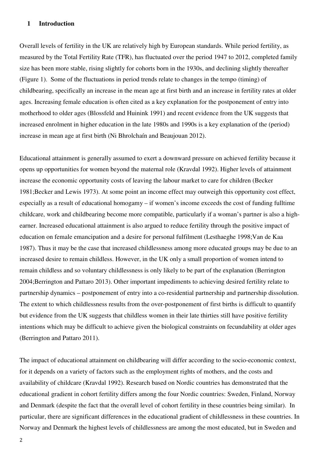#### **1 Introduction**

Overall levels of fertility in the UK are relatively high by European standards. While period fertility, as measured by the Total Fertility Rate (TFR), has fluctuated over the period 1947 to 2012, completed family size has been more stable, rising slightly for cohorts born in the 1930s, and declining slightly thereafter (Figure 1). Some of the fluctuations in period trends relate to changes in the tempo (timing) of childbearing, specifically an increase in the mean age at first birth and an increase in fertility rates at older ages. Increasing female education is often cited as a key explanation for the postponement of entry into motherhood to older ages (Blossfeld and Huinink 1991) and recent evidence from the UK suggests that increased enrolment in higher education in the late 1980s and 1990s is a key explanation of the (period) increase in mean age at first birth (Ni Bhrolchaín and Beaujouan 2012).

Educational attainment is generally assumed to exert a downward pressure on achieved fertility because it opens up opportunities for women beyond the maternal role (Kravdal 1992). Higher levels of attainment increase the economic opportunity costs of leaving the labour market to care for children (Becker 1981;Becker and Lewis 1973). At some point an income effect may outweigh this opportunity cost effect, especially as a result of educational homogamy – if women's income exceeds the cost of funding fulltime childcare, work and childbearing become more compatible, particularly if a woman's partner is also a highearner. Increased educational attainment is also argued to reduce fertility through the positive impact of education on female emancipation and a desire for personal fulfilment (Lesthaeghe 1998;Van de Kaa 1987). Thus it may be the case that increased childlessness among more educated groups may be due to an increased desire to remain childless. However, in the UK only a small proportion of women intend to remain childless and so voluntary childlessness is only likely to be part of the explanation (Berrington 2004;Berrington and Pattaro 2013). Other important impediments to achieving desired fertility relate to partnership dynamics – postponement of entry into a co-residential partnership and partnership dissolution. The extent to which childlessness results from the over-postponement of first births is difficult to quantify but evidence from the UK suggests that childless women in their late thirties still have positive fertility intentions which may be difficult to achieve given the biological constraints on fecundability at older ages (Berrington and Pattaro 2011).

The impact of educational attainment on childbearing will differ according to the socio-economic context, for it depends on a variety of factors such as the employment rights of mothers, and the costs and availability of childcare (Kravdal 1992). Research based on Nordic countries has demonstrated that the educational gradient in cohort fertility differs among the four Nordic countries: Sweden, Finland, Norway and Denmark (despite the fact that the overall level of cohort fertility in these countries being similar). In particular, there are significant differences in the educational gradient of childlessness in these countries. In Norway and Denmark the highest levels of childlessness are among the most educated, but in Sweden and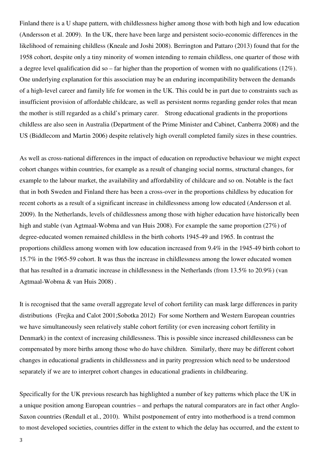Finland there is a U shape pattern, with childlessness higher among those with both high and low education (Andersson et al. 2009). In the UK, there have been large and persistent socio-economic differences in the likelihood of remaining childless (Kneale and Joshi 2008). Berrington and Pattaro (2013) found that for the 1958 cohort, despite only a tiny minority of women intending to remain childless, one quarter of those with a degree level qualification did so – far higher than the proportion of women with no qualifications (12%). One underlying explanation for this association may be an enduring incompatibility between the demands of a high-level career and family life for women in the UK. This could be in part due to constraints such as insufficient provision of affordable childcare, as well as persistent norms regarding gender roles that mean the mother is still regarded as a child's primary carer. Strong educational gradients in the proportions childless are also seen in Australia (Department of the Prime Minister and Cabinet, Canberra 2008) and the US (Biddlecom and Martin 2006) despite relatively high overall completed family sizes in these countries.

As well as cross-national differences in the impact of education on reproductive behaviour we might expect cohort changes within countries, for example as a result of changing social norms, structural changes, for example to the labour market, the availability and affordability of childcare and so on. Notable is the fact that in both Sweden and Finland there has been a cross-over in the proportions childless by education for recent cohorts as a result of a significant increase in childlessness among low educated (Andersson et al. 2009). In the Netherlands, levels of childlessness among those with higher education have historically been high and stable (van Agtmaal-Wobma and van Huis 2008). For example the same proportion (27%) of degree-educated women remained childless in the birth cohorts 1945-49 and 1965. In contrast the proportions childless among women with low education increased from 9.4% in the 1945-49 birth cohort to 15.7% in the 1965-59 cohort. It was thus the increase in childlessness among the lower educated women that has resulted in a dramatic increase in childlessness in the Netherlands (from 13.5% to 20.9%) (van Agtmaal-Wobma & van Huis 2008) .

It is recognised that the same overall aggregate level of cohort fertility can mask large differences in parity distributions (Frejka and Calot 2001;Sobotka 2012) For some Northern and Western European countries we have simultaneously seen relatively stable cohort fertility (or even increasing cohort fertility in Denmark) in the context of increasing childlessness. This is possible since increased childlessness can be compensated by more births among those who do have children. Similarly, there may be different cohort changes in educational gradients in childlessness and in parity progression which need to be understood separately if we are to interpret cohort changes in educational gradients in childbearing.

Specifically for the UK previous research has highlighted a number of key patterns which place the UK in a unique position among European countries – and perhaps the natural comparators are in fact other Anglo-Saxon countries (Rendall et al., 2010). Whilst postponement of entry into motherhood is a trend common to most developed societies, countries differ in the extent to which the delay has occurred, and the extent to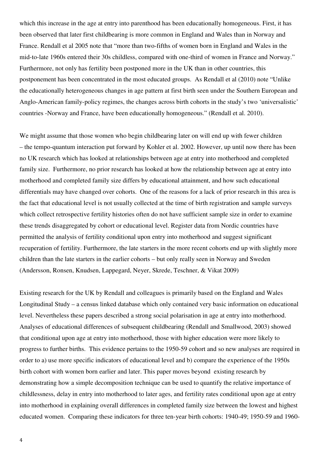which this increase in the age at entry into parenthood has been educationally homogeneous. First, it has been observed that later first childbearing is more common in England and Wales than in Norway and France. Rendall et al 2005 note that "more than two-fifths of women born in England and Wales in the mid-to-late 1960s entered their 30s childless, compared with one-third of women in France and Norway." Furthermore, not only has fertility been postponed more in the UK than in other countries, this postponement has been concentrated in the most educated groups. As Rendall et al (2010) note "Unlike the educationally heterogeneous changes in age pattern at first birth seen under the Southern European and Anglo-American family-policy regimes, the changes across birth cohorts in the study's two 'universalistic' countries -Norway and France, have been educationally homogeneous." (Rendall et al. 2010).

We might assume that those women who begin childbearing later on will end up with fewer children – the tempo-quantum interaction put forward by Kohler et al. 2002. However, up until now there has been no UK research which has looked at relationships between age at entry into motherhood and completed family size. Furthermore, no prior research has looked at how the relationship between age at entry into motherhood and completed family size differs by educational attainment, and how such educational differentials may have changed over cohorts. One of the reasons for a lack of prior research in this area is the fact that educational level is not usually collected at the time of birth registration and sample surveys which collect retrospective fertility histories often do not have sufficient sample size in order to examine these trends disaggregated by cohort or educational level. Register data from Nordic countries have permitted the analysis of fertility conditional upon entry into motherhood and suggest significant recuperation of fertility. Furthermore, the late starters in the more recent cohorts end up with slightly more children than the late starters in the earlier cohorts – but only really seen in Norway and Sweden (Andersson, Ronsen, Knudsen, Lappegard, Neyer, Skrede, Teschner, & Vikat 2009)

Existing research for the UK by Rendall and colleagues is primarily based on the England and Wales Longitudinal Study – a census linked database which only contained very basic information on educational level. Nevertheless these papers described a strong social polarisation in age at entry into motherhood. Analyses of educational differences of subsequent childbearing (Rendall and Smallwood, 2003) showed that conditional upon age at entry into motherhood, those with higher education were more likely to progress to further births. This evidence pertains to the 1950-59 cohort and so new analyses are required in order to a) use more specific indicators of educational level and b) compare the experience of the 1950s birth cohort with women born earlier and later. This paper moves beyond existing research by demonstrating how a simple decomposition technique can be used to quantify the relative importance of childlessness, delay in entry into motherhood to later ages, and fertility rates conditional upon age at entry into motherhood in explaining overall differences in completed family size between the lowest and highest educated women. Comparing these indicators for three ten-year birth cohorts: 1940-49; 1950-59 and 1960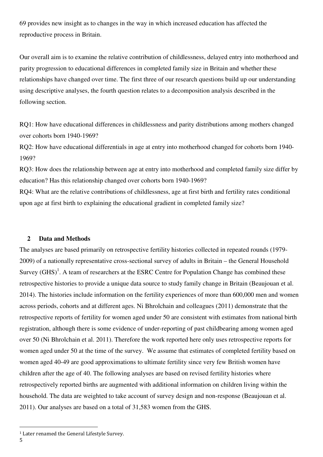69 provides new insight as to changes in the way in which increased education has affected the reproductive process in Britain.

Our overall aim is to examine the relative contribution of childlessness, delayed entry into motherhood and parity progression to educational differences in completed family size in Britain and whether these relationships have changed over time. The first three of our research questions build up our understanding using descriptive analyses, the fourth question relates to a decomposition analysis described in the following section.

RQ1: How have educational differences in childlessness and parity distributions among mothers changed over cohorts born 1940-1969?

RQ2: How have educational differentials in age at entry into motherhood changed for cohorts born 1940- 1969?

RQ3: How does the relationship between age at entry into motherhood and completed family size differ by education? Has this relationship changed over cohorts born 1940-1969?

RQ4: What are the relative contributions of childlessness, age at first birth and fertility rates conditional upon age at first birth to explaining the educational gradient in completed family size?

#### **2 Data and Methods**

The analyses are based primarily on retrospective fertility histories collected in repeated rounds (1979- 2009) of a nationally representative cross-sectional survey of adults in Britain – the General Household Survey  $(GHS)^1$ . A team of researchers at the ESRC Centre for Population Change has combined these retrospective histories to provide a unique data source to study family change in Britain (Beaujouan et al. 2014). The histories include information on the fertility experiences of more than 600,000 men and women across periods, cohorts and at different ages. Ni Bhrolchain and colleagues (2011) demonstrate that the retrospective reports of fertility for women aged under 50 are consistent with estimates from national birth registration, although there is some evidence of under-reporting of past childbearing among women aged over 50 (Ni Bhrolchain et al. 2011). Therefore the work reported here only uses retrospective reports for women aged under 50 at the time of the survey. We assume that estimates of completed fertility based on women aged 40-49 are good approximations to ultimate fertility since very few British women have children after the age of 40. The following analyses are based on revised fertility histories where retrospectively reported births are augmented with additional information on children living within the household. The data are weighted to take account of survey design and non-response (Beaujouan et al. 2011). Our analyses are based on a total of 31,583 women from the GHS.

<sup>&</sup>lt;sup>1</sup> Later renamed the General Lifestyle Survey.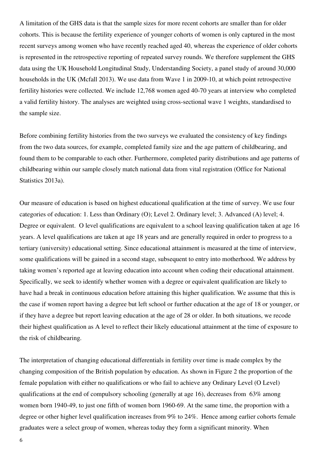A limitation of the GHS data is that the sample sizes for more recent cohorts are smaller than for older cohorts. This is because the fertility experience of younger cohorts of women is only captured in the most recent surveys among women who have recently reached aged 40, whereas the experience of older cohorts is represented in the retrospective reporting of repeated survey rounds. We therefore supplement the GHS data using the UK Household Longitudinal Study, Understanding Society, a panel study of around 30,000 households in the UK (Mcfall 2013). We use data from Wave 1 in 2009-10, at which point retrospective fertility histories were collected. We include 12,768 women aged 40-70 years at interview who completed a valid fertility history. The analyses are weighted using cross-sectional wave 1 weights, standardised to the sample size.

Before combining fertility histories from the two surveys we evaluated the consistency of key findings from the two data sources, for example, completed family size and the age pattern of childbearing, and found them to be comparable to each other. Furthermore, completed parity distributions and age patterns of childbearing within our sample closely match national data from vital registration (Office for National Statistics 2013a).

Our measure of education is based on highest educational qualification at the time of survey. We use four categories of education: 1. Less than Ordinary (O); Level 2. Ordinary level; 3. Advanced (A) level; 4. Degree or equivalent. O level qualifications are equivalent to a school leaving qualification taken at age 16 years. A level qualifications are taken at age 18 years and are generally required in order to progress to a tertiary (university) educational setting. Since educational attainment is measured at the time of interview, some qualifications will be gained in a second stage, subsequent to entry into motherhood. We address by taking women's reported age at leaving education into account when coding their educational attainment. Specifically, we seek to identify whether women with a degree or equivalent qualification are likely to have had a break in continuous education before attaining this higher qualification. We assume that this is the case if women report having a degree but left school or further education at the age of 18 or younger, or if they have a degree but report leaving education at the age of 28 or older. In both situations, we recode their highest qualification as A level to reflect their likely educational attainment at the time of exposure to the risk of childbearing.

The interpretation of changing educational differentials in fertility over time is made complex by the changing composition of the British population by education. As shown in Figure 2 the proportion of the female population with either no qualifications or who fail to achieve any Ordinary Level (O Level) qualifications at the end of compulsory schooling (generally at age 16), decreases from 63% among women born 1940-49, to just one fifth of women born 1960-69. At the same time, the proportion with a degree or other higher level qualification increases from 9% to 24%. Hence among earlier cohorts female graduates were a select group of women, whereas today they form a significant minority. When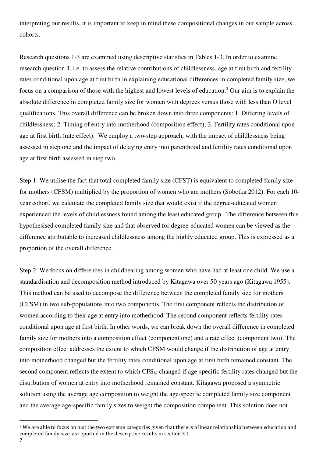interpreting our results, it is important to keep in mind these compositional changes in our sample across cohorts.

Research questions 1-3 are examined using descriptive statistics in Tables 1-3. In order to examine research question 4, i.e. to assess the relative contributions of childlessness, age at first birth and fertility rates conditional upon age at first birth in explaining educational differences in completed family size, we focus on a comparison of those with the highest and lowest levels of education.<sup>2</sup> Our aim is to explain the absolute difference in completed family size for women with degrees versus those with less than O level qualifications. This overall difference can be broken down into three components: 1. Differing levels of childlessness; 2. Timing of entry into motherhood (composition effect); 3. Fertility rates conditional upon age at first birth (rate effect). We employ a two-step approach, with the impact of childlessness being assessed in step one and the impact of delaying entry into parenthood and fertility rates conditional upon age at first birth assessed in step two.

Step 1: We utilise the fact that total completed family size (CFST) is equivalent to completed family size for mothers (CFSM) multiplied by the proportion of women who are mothers (Sobotka 2012). For each 10 year cohort, we calculate the completed family size that would exist if the degree-educated women experienced the levels of childlessness found among the least educated group. The difference between this hypothesised completed family size and that observed for degree-educated women can be viewed as the difference attributable to increased childlessness among the highly educated group. This is expressed as a proportion of the overall difference.

Step 2: We focus on differences in childbearing among women who have had at least one child. We use a standardisation and decomposition method introduced by Kitagawa over 50 years ago (Kitagawa 1955). This method can be used to decompose the difference between the completed family size for mothers (CFSM) in two sub-populations into two components. The first component reflects the distribution of women according to their age at entry into motherhood. The second component reflects fertility rates conditional upon age at first birth. In other words, we can break down the overall difference in completed family size for mothers into a composition effect (component one) and a rate effect (component two). The composition effect addresses the extent to which CFSM would change if the distribution of age at entry into motherhood changed but the fertility rates conditional upon age at first birth remained constant. The second component reflects the extent to which  $CFS_M$  changed if age-specific fertility rates changed but the distribution of women at entry into motherhood remained constant. Kitagawa proposed a symmetric solution using the average age composition to weight the age-specific completed family size component and the average age-specific family sizes to weight the composition component. This solution does not

 $\overline{a}$ 

<sup>&</sup>lt;sup>2</sup> We are able to focus on just the two extreme categories given that there is a linear relationship between education and completed family size, as reported in the descriptive results in section 3.1.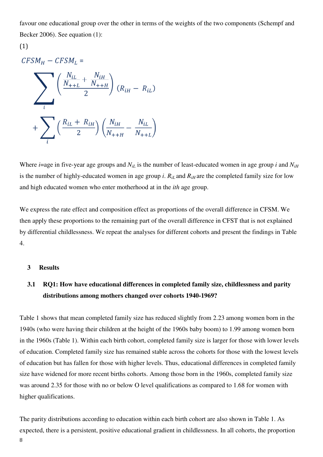favour one educational group over the other in terms of the weights of the two components (Schempf and Becker 2006). See equation (1):

### (1)

 $CFSM_H - CFSM_L =$ 

$$
\sum_{i} \left( \frac{N_{iL}}{N_{++L}} + \frac{N_{iH}}{N_{++H}} \right) (R_{iH} - R_{iL})
$$
  
+ 
$$
\sum_{i} \left( \frac{R_{iL} + R_{iH}}{2} \right) \left( \frac{N_{iH}}{N_{++H}} - \frac{N_{iL}}{N_{++L}} \right)
$$

Where *i*=age in five-year age groups and  $N_{iL}$  is the number of least-educated women in age group *i* and  $N_{iH}$ is the number of highly-educated women in age group *i*.  $R_{iL}$  and  $R_{iH}$  are the completed family size for low and high educated women who enter motherhood at in the *ith* age group.

We express the rate effect and composition effect as proportions of the overall difference in CFSM. We then apply these proportions to the remaining part of the overall difference in CFST that is not explained by differential childlessness. We repeat the analyses for different cohorts and present the findings in Table 4.

#### **3 Results**

### **3.1 RQ1: How have educational differences in completed family size, childlessness and parity distributions among mothers changed over cohorts 1940-1969?**

Table 1 shows that mean completed family size has reduced slightly from 2.23 among women born in the 1940s (who were having their children at the height of the 1960s baby boom) to 1.99 among women born in the 1960s (Table 1). Within each birth cohort, completed family size is larger for those with lower levels of education. Completed family size has remained stable across the cohorts for those with the lowest levels of education but has fallen for those with higher levels. Thus, educational differences in completed family size have widened for more recent births cohorts. Among those born in the 1960s, completed family size was around 2.35 for those with no or below O level qualifications as compared to 1.68 for women with higher qualifications.

The parity distributions according to education within each birth cohort are also shown in Table 1. As expected, there is a persistent, positive educational gradient in childlessness. In all cohorts, the proportion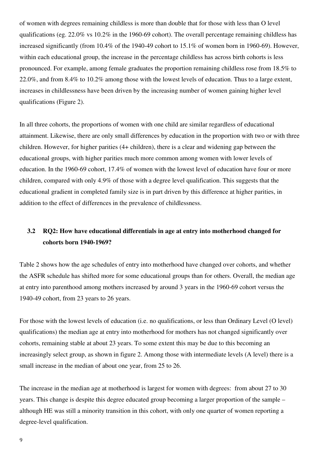of women with degrees remaining childless is more than double that for those with less than O level qualifications (eg. 22.0% vs 10.2% in the 1960-69 cohort). The overall percentage remaining childless has increased significantly (from 10.4% of the 1940-49 cohort to 15.1% of women born in 1960-69). However, within each educational group, the increase in the percentage childless has across birth cohorts is less pronounced. For example, among female graduates the proportion remaining childless rose from 18.5% to 22.0%, and from 8.4% to 10.2% among those with the lowest levels of education. Thus to a large extent, increases in childlessness have been driven by the increasing number of women gaining higher level qualifications (Figure 2).

In all three cohorts, the proportions of women with one child are similar regardless of educational attainment. Likewise, there are only small differences by education in the proportion with two or with three children. However, for higher parities (4+ children), there is a clear and widening gap between the educational groups, with higher parities much more common among women with lower levels of education. In the 1960-69 cohort, 17.4% of women with the lowest level of education have four or more children, compared with only 4.9% of those with a degree level qualification. This suggests that the educational gradient in completed family size is in part driven by this difference at higher parities, in addition to the effect of differences in the prevalence of childlessness.

### **3.2 RQ2: How have educational differentials in age at entry into motherhood changed for cohorts born 1940-1969?**

Table 2 shows how the age schedules of entry into motherhood have changed over cohorts, and whether the ASFR schedule has shifted more for some educational groups than for others. Overall, the median age at entry into parenthood among mothers increased by around 3 years in the 1960-69 cohort versus the 1940-49 cohort, from 23 years to 26 years.

For those with the lowest levels of education (i.e. no qualifications, or less than Ordinary Level (O level) qualifications) the median age at entry into motherhood for mothers has not changed significantly over cohorts, remaining stable at about 23 years. To some extent this may be due to this becoming an increasingly select group, as shown in figure 2. Among those with intermediate levels (A level) there is a small increase in the median of about one year, from 25 to 26.

The increase in the median age at motherhood is largest for women with degrees: from about 27 to 30 years. This change is despite this degree educated group becoming a larger proportion of the sample – although HE was still a minority transition in this cohort, with only one quarter of women reporting a degree-level qualification.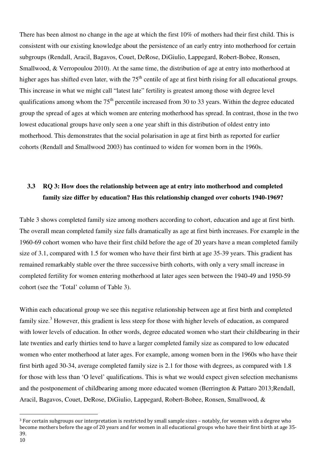There has been almost no change in the age at which the first 10% of mothers had their first child. This is consistent with our existing knowledge about the persistence of an early entry into motherhood for certain subgroups (Rendall, Aracil, Bagavos, Couet, DeRose, DiGiulio, Lappegard, Robert-Bobee, Ronsen, Smallwood, & Verropoulou 2010). At the same time, the distribution of age at entry into motherhood at higher ages has shifted even later, with the  $75<sup>th</sup>$  centile of age at first birth rising for all educational groups. This increase in what we might call "latest late" fertility is greatest among those with degree level qualifications among whom the  $75<sup>th</sup>$  percentile increased from 30 to 33 years. Within the degree educated group the spread of ages at which women are entering motherhood has spread. In contrast, those in the two lowest educational groups have only seen a one year shift in this distribution of oldest entry into motherhood. This demonstrates that the social polarisation in age at first birth as reported for earlier cohorts (Rendall and Smallwood 2003) has continued to widen for women born in the 1960s.

### **3.3 RQ 3: How does the relationship between age at entry into motherhood and completed family size differ by education? Has this relationship changed over cohorts 1940-1969?**

Table 3 shows completed family size among mothers according to cohort, education and age at first birth. The overall mean completed family size falls dramatically as age at first birth increases. For example in the 1960-69 cohort women who have their first child before the age of 20 years have a mean completed family size of 3.1, compared with 1.5 for women who have their first birth at age 35-39 years. This gradient has remained remarkably stable over the three successive birth cohorts, with only a very small increase in completed fertility for women entering motherhood at later ages seen between the 1940-49 and 1950-59 cohort (see the 'Total' column of Table 3).

Within each educational group we see this negative relationship between age at first birth and completed family size.<sup>3</sup> However, this gradient is less steep for those with higher levels of education, as compared with lower levels of education. In other words, degree educated women who start their childbearing in their late twenties and early thirties tend to have a larger completed family size as compared to low educated women who enter motherhood at later ages. For example, among women born in the 1960s who have their first birth aged 30-34, average completed family size is 2.1 for those with degrees, as compared with 1.8 for those with less than 'O level' qualifications. This is what we would expect given selection mechanisms and the postponement of childbearing among more educated women (Berrington & Pattaro 2013;Rendall, Aracil, Bagavos, Couet, DeRose, DiGiulio, Lappegard, Robert-Bobee, Ronsen, Smallwood, &

<sup>3</sup> For certain subgroups our interpretation is restricted by small sample sizes – notably, for women with a degree who become mothers before the age of 20 years and for women in all educational groups who have their first birth at age 35- 39.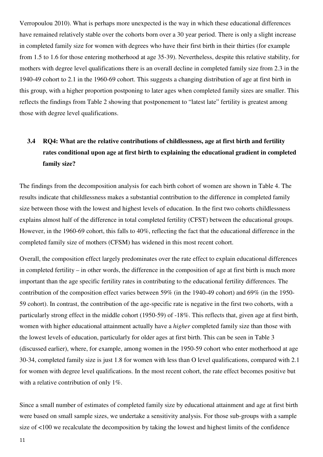Verropoulou 2010). What is perhaps more unexpected is the way in which these educational differences have remained relatively stable over the cohorts born over a 30 year period. There is only a slight increase in completed family size for women with degrees who have their first birth in their thirties (for example from 1.5 to 1.6 for those entering motherhood at age 35-39). Nevertheless, despite this relative stability, for mothers with degree level qualifications there is an overall decline in completed family size from 2.3 in the 1940-49 cohort to 2.1 in the 1960-69 cohort. This suggests a changing distribution of age at first birth in this group, with a higher proportion postponing to later ages when completed family sizes are smaller. This reflects the findings from Table 2 showing that postponement to "latest late" fertility is greatest among those with degree level qualifications.

## **3.4 RQ4: What are the relative contributions of childlessness, age at first birth and fertility rates conditional upon age at first birth to explaining the educational gradient in completed family size?**

The findings from the decomposition analysis for each birth cohort of women are shown in Table 4. The results indicate that childlessness makes a substantial contribution to the difference in completed family size between those with the lowest and highest levels of education. In the first two cohorts childlessness explains almost half of the difference in total completed fertility (CFST) between the educational groups. However, in the 1960-69 cohort, this falls to 40%, reflecting the fact that the educational difference in the completed family size of mothers (CFSM) has widened in this most recent cohort.

Overall, the composition effect largely predominates over the rate effect to explain educational differences in completed fertility – in other words, the difference in the composition of age at first birth is much more important than the age specific fertility rates in contributing to the educational fertility differences. The contribution of the composition effect varies between 59% (in the 1940-49 cohort) and 69% (in the 1950- 59 cohort). In contrast, the contribution of the age-specific rate is negative in the first two cohorts, with a particularly strong effect in the middle cohort (1950-59) of -18%. This reflects that, given age at first birth, women with higher educational attainment actually have a *higher* completed family size than those with the lowest levels of education, particularly for older ages at first birth. This can be seen in Table 3 (discussed earlier), where, for example, among women in the 1950-59 cohort who enter motherhood at age 30-34, completed family size is just 1.8 for women with less than O level qualifications, compared with 2.1 for women with degree level qualifications. In the most recent cohort, the rate effect becomes positive but with a relative contribution of only 1%.

Since a small number of estimates of completed family size by educational attainment and age at first birth were based on small sample sizes, we undertake a sensitivity analysis. For those sub-groups with a sample size of <100 we recalculate the decomposition by taking the lowest and highest limits of the confidence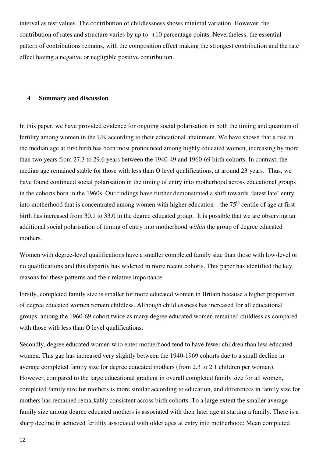interval as test values. The contribution of childlessness shows minimal variation. However, the contribution of rates and structure varies by up to -+10 percentage points. Nevertheless, the essential pattern of contributions remains, with the composition effect making the strongest contribution and the rate effect having a negative or negligible positive contribution.

#### **4 Summary and discussion**

In this paper, we have provided evidence for ongoing social polarisation in both the timing and quantum of fertility among women in the UK according to their educational attainment. We have shown that a rise in the median age at first birth has been most pronounced among highly educated women, increasing by more than two years from 27.3 to 29.6 years between the 1940-49 and 1960-69 birth cohorts. In contrast, the median age remained stable for those with less than O level qualifications, at around 23 years. Thus, we have found continued social polarisation in the timing of entry into motherhood across educational groups in the cohorts born in the 1960s. Our findings have further demonstrated a shift towards 'latest late' entry into motherhood that is concentrated among women with higher education – the  $75<sup>th</sup>$  centile of age at first birth has increased from 30.1 to 33.0 in the degree educated group. It is possible that we are observing an additional social polarisation of timing of entry into motherhood *within* the group of degree educated mothers.

Women with degree-level qualifications have a smaller completed family size than those with low-level or no qualifications and this disparity has widened in more recent cohorts. This paper has identified the key reasons for these patterns and their relative importance.

Firstly, completed family size is smaller for more educated women in Britain because a higher proportion of degree educated women remain childless. Although childlessness has increased for all educational groups, among the 1960-69 cohort twice as many degree educated women remained childless as compared with those with less than O level qualifications.

Secondly, degree educated women who enter motherhood tend to have fewer children than less educated women. This gap has increased very slightly between the 1940-1969 cohorts due to a small decline in average completed family size for degree educated mothers (from 2.3 to 2.1 children per woman). However, compared to the large educational gradient in overall completed family size for all women, completed family size for mothers is more similar according to education, and differences in family size for mothers has remained remarkably consistent across birth cohorts. To a large extent the smaller average family size among degree educated mothers is associated with their later age at starting a family. There is a sharp decline in achieved fertility associated with older ages at entry into motherhood: Mean completed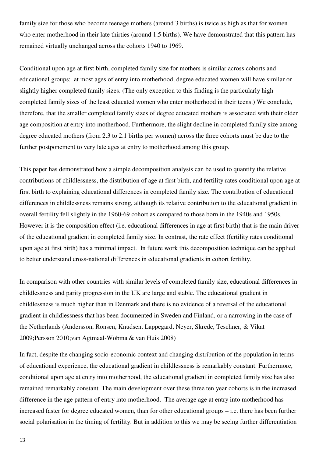family size for those who become teenage mothers (around 3 births) is twice as high as that for women who enter motherhood in their late thirties (around 1.5 births). We have demonstrated that this pattern has remained virtually unchanged across the cohorts 1940 to 1969.

Conditional upon age at first birth, completed family size for mothers is similar across cohorts and educational groups: at most ages of entry into motherhood, degree educated women will have similar or slightly higher completed family sizes. (The only exception to this finding is the particularly high completed family sizes of the least educated women who enter motherhood in their teens.) We conclude, therefore, that the smaller completed family sizes of degree educated mothers is associated with their older age composition at entry into motherhood. Furthermore, the slight decline in completed family size among degree educated mothers (from 2.3 to 2.1 births per women) across the three cohorts must be due to the further postponement to very late ages at entry to motherhood among this group.

This paper has demonstrated how a simple decomposition analysis can be used to quantify the relative contributions of childlessness, the distribution of age at first birth, and fertility rates conditional upon age at first birth to explaining educational differences in completed family size. The contribution of educational differences in childlessness remains strong, although its relative contribution to the educational gradient in overall fertility fell slightly in the 1960-69 cohort as compared to those born in the 1940s and 1950s. However it is the composition effect (i.e. educational differences in age at first birth) that is the main driver of the educational gradient in completed family size. In contrast, the rate effect (fertility rates conditional upon age at first birth) has a minimal impact. In future work this decomposition technique can be applied to better understand cross-national differences in educational gradients in cohort fertility.

In comparison with other countries with similar levels of completed family size, educational differences in childlessness and parity progression in the UK are large and stable. The educational gradient in childlessness is much higher than in Denmark and there is no evidence of a reversal of the educational gradient in childlessness that has been documented in Sweden and Finland, or a narrowing in the case of the Netherlands (Andersson, Ronsen, Knudsen, Lappegard, Neyer, Skrede, Teschner, & Vikat 2009;Persson 2010;van Agtmaal-Wobma & van Huis 2008)

In fact, despite the changing socio-economic context and changing distribution of the population in terms of educational experience, the educational gradient in childlessness is remarkably constant. Furthermore, conditional upon age at entry into motherhood, the educational gradient in completed family size has also remained remarkably constant. The main development over these three ten year cohorts is in the increased difference in the age pattern of entry into motherhood. The average age at entry into motherhood has increased faster for degree educated women, than for other educational groups – i.e. there has been further social polarisation in the timing of fertility. But in addition to this we may be seeing further differentiation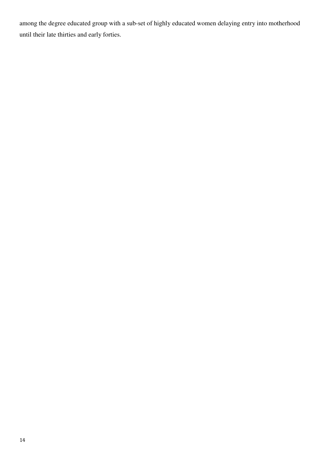among the degree educated group with a sub-set of highly educated women delaying entry into motherhood until their late thirties and early forties.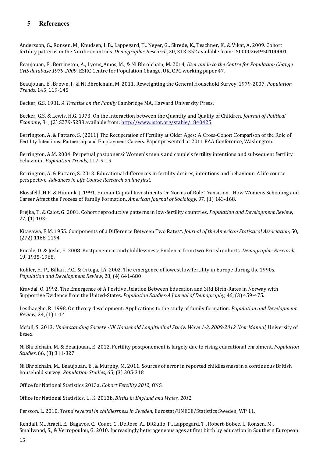### **5 References**

Andersson, G., Ronsen, M., Knudsen, L.B., Lappegard, T., Neyer, G., Skrede, K., Teschner, K., & Vikat, A. 2009. Cohort fertility patterns in the Nordic countries. Demographic Research, 20, 313-352 available from: ISI:000264950100001

Beaujouan, E., Berrington, A., Lyons\_Amos, M., & Ni Bhrolchain, M. 2014, User guide to the Centre for Population Change GHS database 1979-2009, ESRC Centre for Population Change, UK, CPC working paper 47.

Beaujouan, E., Brown, J., & Ni Bhrolchain, M. 2011. Reweighting the General Household Survey, 1979-2007. Population Trends, 145, 119-145

Becker, G.S. 1981. A Treatise on the Family Cambridge MA, Harvard University Press.

Becker, G.S. & Lewis, H.G. 1973. On the Interaction between the Quantity and Quality of Children. Journal of Political Economy, 81, (2) S279-S288 available from: http://www.jstor.org/stable/1840425

Berrington, A. & Pattaro, S. (2011) The Recuperation of Fertility at Older Ages: A Cross-Cohort Comparison of the Role of Fertility Intentions, Partnership and Employment Careers. Paper presented at 2011 PAA Conference, Washington.

Berrington, A.M. 2004. Perpetual postponers? Women's men's and couple's fertility intentions and subsequent fertility behaviour. Population Trends, 117, 9-19

Berrington, A. & Pattaro, S. 2013. Educational differences in fertility desires, intentions and behaviour: A life course perspective. Advances in Life Course Research on line first.

Blossfeld, H.P. & Huinink, J. 1991. Human-Capital Investments Or Norms of Role Transition - How Womens Schooling and Career Affect the Process of Family Formation. American Journal of Sociology, 97, (1) 143-168.

Frejka, T. & Calot, G. 2001. Cohort reproductive patterns in low-fertility countries. Population and Development Review, 27, (1) 103-.

Kitagawa, E.M. 1955. Components of a Difference Between Two Rates\*. Journal of the American Statistical Association, 50, (272) 1168-1194

Kneale, D. & Joshi, H. 2008. Postponement and childlessness: Evidence from two British cohorts. Demographic Research, 19, 1935-1968.

Kohler, H.-P., Billari, F.C., & Ortega, J.A. 2002. The emergence of lowest low fertility in Europe during the 1990s. Population and Development Review, 28, (4) 641-680

Kravdal, O. 1992. The Emergence of A Positive Relation Between Education and 3Rd Birth-Rates in Norway with Supportive Evidence from the United-States. Population Studies-A Journal of Demography, 46, (3) 459-475.

Lesthaeghe, R. 1998. On theory development: Applications to the study of family formation. Population and Development Review, 24, (1) 1-14

Mcfall, S. 2013, Understanding Society -UK Household Longitudinal Study: Wave 1-3, 2009-2012 User Manual, University of Essex.

Ni Bhrolchaín, M. & Beaujouan, E. 2012. Fertility postponement is largely due to rising educational enrolment. Population Studies, 66, (3) 311-327

Ni Bhrolchain, M., Beaujouan, E., & Murphy, M. 2011. Sources of error in reported childlessness in a continuous British household survey. Population Studies, 65, (3) 305-318

Office for National Statistics 2013a, Cohort Fertility 2012, ONS.

Office for National Statistics, U. K. 2013b, *Births in England and Wales, 2012*.

Persson, L. 2010, Trend reversal in childlessness in Sweden, Eurostat/UNECE/Statistics Sweden, WP 11.

Rendall, M., Aracil, E., Bagavos, C., Couet, C., DeRose, A., DiGiulio, P., Lappegard, T., Robert-Bobee, I., Ronsen, M., Smallwood, S., & Verropoulou, G. 2010. Increasingly heterogeneous ages at first birth by education in Southern European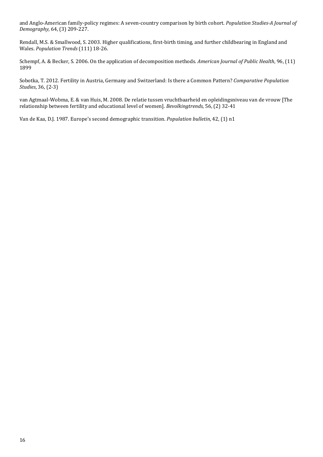and Anglo-American family-policy regimes: A seven-country comparison by birth cohort. Population Studies-A Journal of Demography, 64, (3) 209-227.

Rendall, M.S. & Smallwood, S. 2003. Higher qualifications, first-birth timing, and further childbearing in England and Wales. Population Trends (111) 18-26.

Schempf, A. & Becker, S. 2006. On the application of decomposition methods. American Journal of Public Health, 96, (11) 1899

Sobotka, T. 2012. Fertility in Austria, Germany and Switzerland: Is there a Common Pattern? Comparative Population Studies, 36, (2-3)

van Agtmaal-Wobma, E. & van Huis, M. 2008. De relatie tussen vruchtbaarheid en opleidingsniveau van de vrouw [The relationship between fertility and educational level of women]. Bevolkingtrends, 56, (2) 32-41

Van de Kaa, D.J. 1987. Europe's second demographic transition. Population bulletin, 42, (1) n1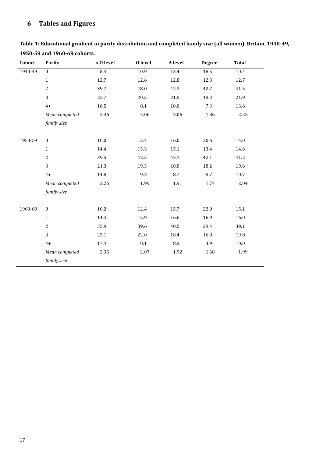### 6 Tables and Figures

| Cohort  | <b>Parity</b>    | $\leq 0$ level | O level | A level | <b>Degree</b> | <b>Total</b> |
|---------|------------------|----------------|---------|---------|---------------|--------------|
| 1940-49 | $\mathbf{0}$     | 8.4            | 10.9    | 13.4    | 18.5          | 10.4         |
|         | $\mathbf{1}$     | 12.7           | 12.6    | 12.8    | 12.3          | 12.7         |
|         | $\overline{2}$   | 39.7           | 48.0    | 42.3    | 42.7          | 41.5         |
|         | 3                | 22.7           | 20.5    | 21.5    | 19.2          | 21.9         |
|         | $4+$             | 16.5           | 8.1     | 10.0    | 7.3           | 13.6         |
|         | Mean completed   | 2.36           | 2.06    | 2.06    | 1.86          | 2.23         |
|         | family size      |                |         |         |               |              |
|         |                  |                |         |         |               |              |
| 1950-59 | $\boldsymbol{0}$ | 10.0           | 13.7    | 16.0    | 20.6          | 14.0         |
|         | $\mathbf{1}$     | 14.4           | 15.3    | 15.1    | 13.4          | 14.6         |
|         | $\overline{c}$   | 39.5           | 42.5    | 42.1    | 42.1          | 41.2         |
|         | 3                | 21.3           | 19.3    | 18.0    | 18.2          | 19.6         |
|         | $4+$             | 14.8           | 9.2     | 8.7     | 5.7           | 10.7         |
|         | Mean completed   | 2.26           | 1.99    | 1.91    | 1.77          | 2.04         |
|         | family size      |                |         |         |               |              |
|         |                  |                |         |         |               |              |
| 1960-69 | $\boldsymbol{0}$ | 10.2           | 12.4    | 15.7    | 22.0          | 15.1         |
|         | $\mathbf{1}$     | 14.4           | 15.9    | 16.6    | 16.9          | 16.0         |
|         | $\overline{c}$   | 35.9           | 39.6    | 40.5    | 39.4          | 39.1         |
|         | 3                | 22.1           | 22.0    | 18.4    | 16.8          | 19.8         |
|         | $4+$             | 17.4           | 10.1    | 8.9     | 4.9           | $10.0\,$     |
|         | Mean completed   | 2.35           | 2.07    | 1.92    | 1.68          | 1.99         |
|         | family size      |                |         |         |               |              |

Table 1: Educational gradient in parity distribution and completed family size (all women). Britain, 1940-49, 1950-59 and 1960-69 cohorts.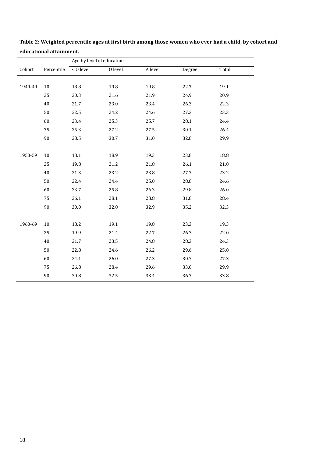|         |            | Age by level of education |                      |          |          |          |  |  |
|---------|------------|---------------------------|----------------------|----------|----------|----------|--|--|
| Cohort  | Percentile | < 0 level                 | $\overline{0}$ level | A level  | Degree   | Total    |  |  |
|         |            |                           |                      |          |          |          |  |  |
| 1940-49 | 10         | 18.8                      | 19.8                 | 19.8     | 22.7     | 19.1     |  |  |
|         | 25         | 20.3                      | 21.6                 | 21.9     | 24.9     | 20.9     |  |  |
|         | 40         | 21.7                      | 23.0                 | 23.4     | 26.3     | 22.3     |  |  |
|         | 50         | 22.5                      | 24.2                 | 24.6     | 27.3     | 23.3     |  |  |
|         | 60         | 23.4                      | 25.3                 | 25.7     | 28.1     | 24.4     |  |  |
|         | 75         | 25.3                      | 27.2                 | 27.5     | $30.1\,$ | 26.4     |  |  |
|         | 90         | 28.5                      | 30.7                 | $31.0\,$ | 32.8     | 29.9     |  |  |
|         |            |                           |                      |          |          |          |  |  |
| 1950-59 | 10         | 18.1                      | 18.9                 | 19.3     | 23.8     | 18.8     |  |  |
|         | 25         | 19.8                      | 21.2                 | 21.8     | 26.1     | $21.0\,$ |  |  |
|         | 40         | 21.3                      | 23.2                 | 23.8     | 27.7     | 23.2     |  |  |
|         | 50         | 22.4                      | 24.4                 | 25.0     | 28.8     | 24.6     |  |  |
|         | 60         | 23.7                      | 25.8                 | 26.3     | 29.8     | 26.0     |  |  |
|         | 75         | 26.1                      | 28.1                 | 28.8     | 31.8     | 28.4     |  |  |
|         | 90         | 30.0                      | 32.0                 | 32.9     | 35.2     | 32.3     |  |  |
|         |            |                           |                      |          |          |          |  |  |
| 1960-69 | $10\,$     | 18.2                      | $19.1\,$             | 19.8     | 23.3     | 19.3     |  |  |
|         | 25         | 19.9                      | 21.4                 | 22.7     | 26.3     | 22.0     |  |  |
|         | 40         | 21.7                      | 23.5                 | 24.8     | 28.3     | 24.3     |  |  |
|         | 50         | 22.8                      | 24.6                 | 26.2     | 29.6     | 25.8     |  |  |
|         | 60         | 24.1                      | 26.0                 | 27.3     | 30.7     | 27.3     |  |  |
|         | 75         | 26.8                      | 28.4                 | 29.6     | 33.0     | 29.9     |  |  |
|         | 90         | 30.8                      | 32.5                 | 33.4     | 36.7     | 33.8     |  |  |

Table 2: Weighted percentile ages at first birth among those women who ever had a child, by cohort and educational attainment.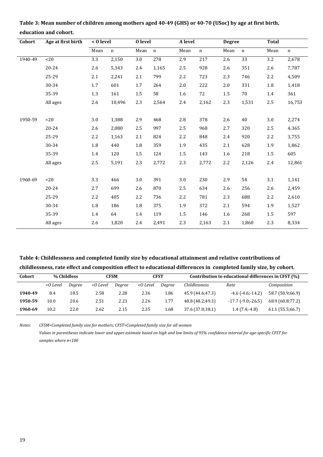| Cohort  | Age at first birth | < 0 level        |             | <b>O</b> level   |             |         | A level     |                  | <b>Degree</b>   |         | <b>Total</b> |  |
|---------|--------------------|------------------|-------------|------------------|-------------|---------|-------------|------------------|-----------------|---------|--------------|--|
|         |                    | Mean             | $\mathbf n$ | Mean             | $\mathbf n$ | Mean    | $\mathbf n$ | Mean             | $\mathbf n$     | Mean    | $\mathbf n$  |  |
| 1940-49 | < 20               | $\overline{3.3}$ | 2,150       | $\overline{3.0}$ | 278         | 2.9     | 217         | $\overline{2.6}$ | $\overline{33}$ | 3.2     | 2,678        |  |
|         | 20-24              | 2.6              | 5,343       | 2.4              | 1,165       | 2.5     | 928         | 2.6              | 351             | 2.6     | 7,787        |  |
|         | 25-29              | 2.1              | 2,241       | 2.1              | 799         | $2.2\,$ | 723         | 2.3              | 746             | 2.2     | 4,509        |  |
|         | 30-34              | 1.7              | 601         | 1.7              | 264         | 2.0     | 222         | 2.0              | 331             | 1.8     | 1,418        |  |
|         | 35-39              | 1.3              | 161         | 1.5              | 58          | 1.6     | 72          | 1.5              | 70              | 1.4     | 361          |  |
|         | All ages           | 2.6              | 10,496      | 2.3              | 2,564       | 2.4     | 2,162       | 2.3              | 1,531           | 2.5     | 16,753       |  |
| 1950-59 | <20                | 3.0              | 1,388       | 2.9              | 468         | 2.8     | 378         | 2.6              | 40              | 3.0     | 2,274        |  |
|         | 20-24              | 2.6              | 2,080       | 2.5              | 997         | 2.5     | 968         | 2.7              | 320             | 2.5     | 4,365        |  |
|         | 25-29              | 2.2              | 1,163       | 2.1              | 824         | 2.2     | 848         | 2.4              | 920             | 2.2     | 3,755        |  |
|         |                    |                  |             |                  |             |         |             |                  |                 |         |              |  |
|         | 30-34              | 1.8              | 440         | 1.8              | 359         | 1.9     | 435         | 2.1              | 628             | 1.9     | 1,862        |  |
|         | 35-39              | 1.4              | 120         | 1.5              | 124         | 1.5     | 143         | 1.6              | 218             | $1.5\,$ | 605          |  |
|         | All ages           | 2.5              | 5,191       | 2.3              | 2,772       | 2.3     | 2,772       | 2.2              | 2,126           | 2.4     | 12,861       |  |
| 1960-69 | <20                | 3.3              | 466         | 3.0              | 391         | 3.0     | 230         | 2.9              | 54              | 3.1     | 1,141        |  |
|         | $20 - 24$          | 2.7              | 699         | 2.6              | 870         | $2.5\,$ | 634         | 2.6              | 256             | 2.6     | 2,459        |  |
|         | 25-29              | 2.2              | 405         | 2.2              | 736         | 2.2     | 781         | 2.3              | 688             | 2.2     | 2,610        |  |
|         | 30-34              | 1.8              | 186         | 1.8              | 375         | 1.9     | 372         | 2.1              | 594             | 1.9     | 1,527        |  |
|         | 35-39              | 1.4              | 64          | 1.4              | 119         | 1.5     | 146         | 1.6              | 268             | $1.5\,$ | 597          |  |
|         | All ages           | 2.6              | 1,820       | 2.4              | 2,491       | 2.3     | 2,163       | 2.1              | 1,860           | 2.3     | 8,334        |  |

Table 3: Mean number of children among mothers aged 40-49 (GHS) or 40-70 (USoc) by age at first birth, education and cohort.

### Table 4: Childlessness and completed family size by educational attainment and relative contributions of childlessness, rate effect and composition effect to educational differences in completed family size, by cohort.

| Cohort  | % Childless |        | <b>CFSM</b> |        | <b>CFST</b> |        | Contribution to educational differences in CFST (%) |                              |                  |
|---------|-------------|--------|-------------|--------|-------------|--------|-----------------------------------------------------|------------------------------|------------------|
|         | <0 Level    | Dearee | $<$ O Level | Degree | $<$ O Level | Dearee | Childlessness                                       | Rate                         | Composition      |
| 1940-49 | 8.4         | 18.5   | 2.58        | 2.28   | 2.36        | 1.86   | 45.9 (44.6;47.3)                                    | $-4.6$ ( $-4.6$ : $-14.2$ )  | 58.7 (50.9;66.9) |
| 1950-59 | 10.0        | 20.6   | 2.51        | 2.23   | 2.26        | 1.77   | 48.8 (48.2;49.3)                                    | $-17.7$ ( $-9.0$ ; $-26.5$ ) | 68.9 (60.8;77.2) |
| 1960-69 | 10.2        | 22.0   | 2.62        | 2.15   | 2.35        | 1.68   | 37.6 (37.0;38.1)                                    | $1.4(7.4; -4.8)$             | 61.1 (55.5;66.7) |

Notes: CFSM=Completed family size for mothers; CFST=Completed family size for all women Values in parentheses indicate lower and upper estimate based on high and low limits of 95% confidence interval for age-specific CFST for samples where  $n<$ 100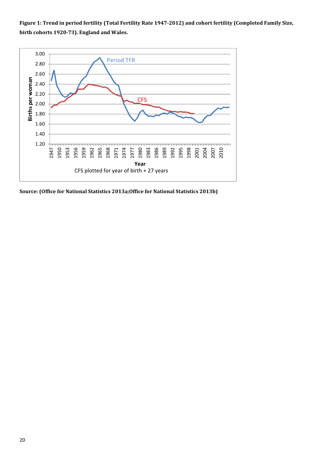Figure 1: Trend in period fertility (Total Fertility Rate 1947-2012) and cohort fertility (Completed Family Size, birth cohorts 1920-73). England and Wales.



Source: (Office for National Statistics 2013a;Office for National Statistics 2013b)